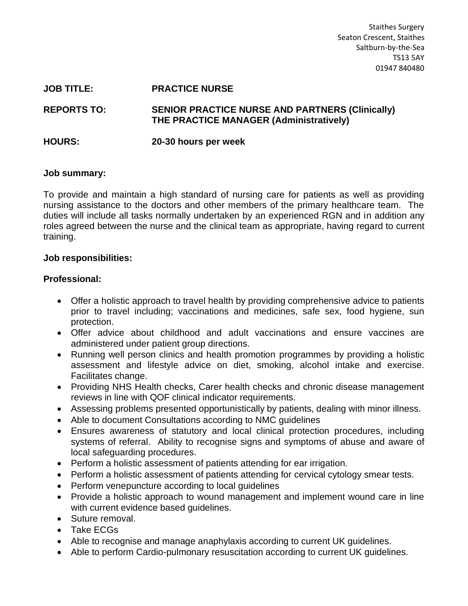Staithes Surgery Seaton Crescent, Staithes Saltburn-by-the-Sea TS13 5AY 01947 840480

#### **JOB TITLE: PRACTICE NURSE**

## **REPORTS TO: SENIOR PRACTICE NURSE AND PARTNERS (Clinically) THE PRACTICE MANAGER (Administratively)**

#### **HOURS: 20-30 hours per week**

#### **Job summary:**

To provide and maintain a high standard of nursing care for patients as well as providing nursing assistance to the doctors and other members of the primary healthcare team. The duties will include all tasks normally undertaken by an experienced RGN and in addition any roles agreed between the nurse and the clinical team as appropriate, having regard to current training.

#### **Job responsibilities:**

#### **Professional:**

- Offer a holistic approach to travel health by providing comprehensive advice to patients prior to travel including; vaccinations and medicines, safe sex, food hygiene, sun protection.
- Offer advice about childhood and adult vaccinations and ensure vaccines are administered under patient group directions.
- Running well person clinics and health promotion programmes by providing a holistic assessment and lifestyle advice on diet, smoking, alcohol intake and exercise. Facilitates change.
- Providing NHS Health checks, Carer health checks and chronic disease management reviews in line with QOF clinical indicator requirements.
- Assessing problems presented opportunistically by patients, dealing with minor illness.
- Able to document Consultations according to NMC guidelines
- Ensures awareness of statutory and local clinical protection procedures, including systems of referral. Ability to recognise signs and symptoms of abuse and aware of local safeguarding procedures.
- Perform a holistic assessment of patients attending for ear irrigation.
- Perform a holistic assessment of patients attending for cervical cytology smear tests.
- Perform venepuncture according to local guidelines
- Provide a holistic approach to wound management and implement wound care in line with current evidence based guidelines.
- Suture removal.
- Take ECGs
- Able to recognise and manage anaphylaxis according to current UK guidelines.
- Able to perform Cardio-pulmonary resuscitation according to current UK guidelines.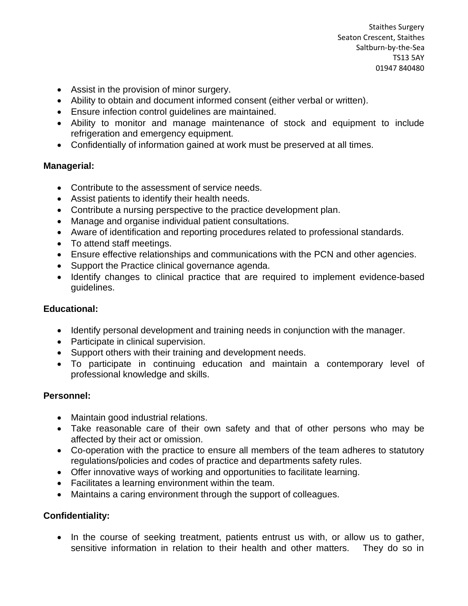Staithes Surgery Seaton Crescent, Staithes Saltburn-by-the-Sea TS13 5AY 01947 840480

- Assist in the provision of minor surgery.
- Ability to obtain and document informed consent (either verbal or written).
- Ensure infection control guidelines are maintained.
- Ability to monitor and manage maintenance of stock and equipment to include refrigeration and emergency equipment.
- Confidentially of information gained at work must be preserved at all times.

## **Managerial:**

- Contribute to the assessment of service needs.
- Assist patients to identify their health needs.
- Contribute a nursing perspective to the practice development plan.
- Manage and organise individual patient consultations.
- Aware of identification and reporting procedures related to professional standards.
- To attend staff meetings.
- Ensure effective relationships and communications with the PCN and other agencies.
- Support the Practice clinical governance agenda.
- Identify changes to clinical practice that are required to implement evidence-based guidelines.

## **Educational:**

- Identify personal development and training needs in conjunction with the manager.
- Participate in clinical supervision.
- Support others with their training and development needs.
- To participate in continuing education and maintain a contemporary level of professional knowledge and skills.

## **Personnel:**

- Maintain good industrial relations.
- Take reasonable care of their own safety and that of other persons who may be affected by their act or omission.
- Co-operation with the practice to ensure all members of the team adheres to statutory regulations/policies and codes of practice and departments safety rules.
- Offer innovative ways of working and opportunities to facilitate learning.
- Facilitates a learning environment within the team.
- Maintains a caring environment through the support of colleagues.

## **Confidentiality:**

• In the course of seeking treatment, patients entrust us with, or allow us to gather, sensitive information in relation to their health and other matters. They do so in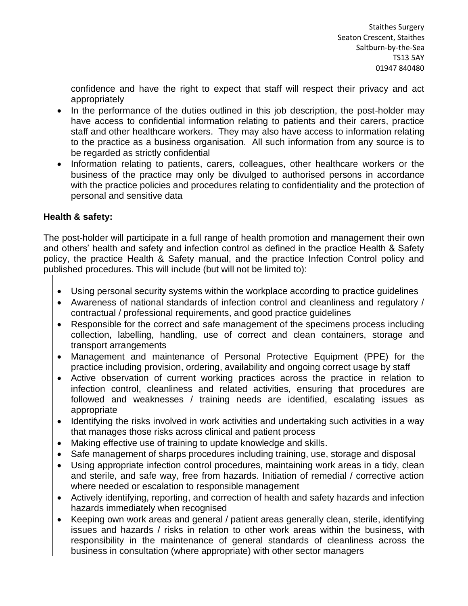confidence and have the right to expect that staff will respect their privacy and act appropriately

- In the performance of the duties outlined in this job description, the post-holder may have access to confidential information relating to patients and their carers, practice staff and other healthcare workers. They may also have access to information relating to the practice as a business organisation. All such information from any source is to be regarded as strictly confidential
- Information relating to patients, carers, colleagues, other healthcare workers or the business of the practice may only be divulged to authorised persons in accordance with the practice policies and procedures relating to confidentiality and the protection of personal and sensitive data

# **Health & safety:**

The post-holder will participate in a full range of health promotion and management their own and others' health and safety and infection control as defined in the practice Health & Safety policy, the practice Health & Safety manual, and the practice Infection Control policy and published procedures. This will include (but will not be limited to):

- Using personal security systems within the workplace according to practice guidelines
- Awareness of national standards of infection control and cleanliness and regulatory / contractual / professional requirements, and good practice guidelines
- Responsible for the correct and safe management of the specimens process including collection, labelling, handling, use of correct and clean containers, storage and transport arrangements
- Management and maintenance of Personal Protective Equipment (PPE) for the practice including provision, ordering, availability and ongoing correct usage by staff
- Active observation of current working practices across the practice in relation to infection control, cleanliness and related activities, ensuring that procedures are followed and weaknesses / training needs are identified, escalating issues as appropriate
- Identifying the risks involved in work activities and undertaking such activities in a way that manages those risks across clinical and patient process
- Making effective use of training to update knowledge and skills.
- Safe management of sharps procedures including training, use, storage and disposal
- Using appropriate infection control procedures, maintaining work areas in a tidy, clean and sterile, and safe way, free from hazards. Initiation of remedial / corrective action where needed or escalation to responsible management
- Actively identifying, reporting, and correction of health and safety hazards and infection hazards immediately when recognised
- Keeping own work areas and general / patient areas generally clean, sterile, identifying issues and hazards / risks in relation to other work areas within the business, with responsibility in the maintenance of general standards of cleanliness across the business in consultation (where appropriate) with other sector managers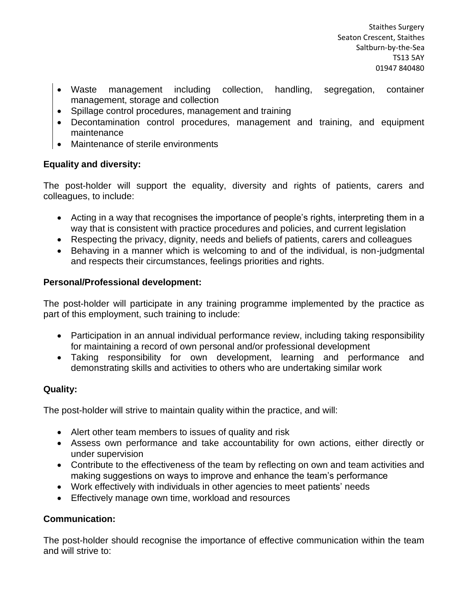- Waste management including collection, handling, segregation, container management, storage and collection
- Spillage control procedures, management and training
- Decontamination control procedures, management and training, and equipment maintenance
- Maintenance of sterile environments

# **Equality and diversity:**

The post-holder will support the equality, diversity and rights of patients, carers and colleagues, to include:

- Acting in a way that recognises the importance of people's rights, interpreting them in a way that is consistent with practice procedures and policies, and current legislation
- Respecting the privacy, dignity, needs and beliefs of patients, carers and colleagues
- Behaving in a manner which is welcoming to and of the individual, is non-judgmental and respects their circumstances, feelings priorities and rights.

# **Personal/Professional development:**

The post-holder will participate in any training programme implemented by the practice as part of this employment, such training to include:

- Participation in an annual individual performance review, including taking responsibility for maintaining a record of own personal and/or professional development
- Taking responsibility for own development, learning and performance and demonstrating skills and activities to others who are undertaking similar work

# **Quality:**

The post-holder will strive to maintain quality within the practice, and will:

- Alert other team members to issues of quality and risk
- Assess own performance and take accountability for own actions, either directly or under supervision
- Contribute to the effectiveness of the team by reflecting on own and team activities and making suggestions on ways to improve and enhance the team's performance
- Work effectively with individuals in other agencies to meet patients' needs
- Effectively manage own time, workload and resources

# **Communication:**

The post-holder should recognise the importance of effective communication within the team and will strive to: